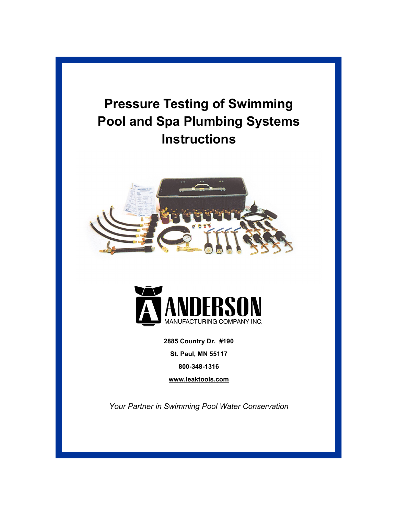





**2885 Country Dr. #190 St. Paul, MN 55117 800-348-1316**

**[www.leaktools.com](http://www.leaktools.com/)**

*Your Partner in Swimming Pool Water Conservation*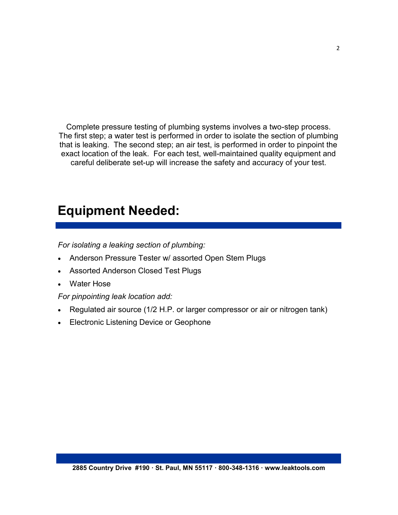Complete pressure testing of plumbing systems involves a two-step process. The first step; a water test is performed in order to isolate the section of plumbing that is leaking. The second step; an air test, is performed in order to pinpoint the exact location of the leak. For each test, well-maintained quality equipment and careful deliberate set-up will increase the safety and accuracy of your test.

### **Equipment Needed:**

*For isolating a leaking section of plumbing:*

- Anderson Pressure Tester w/ assorted Open Stem Plugs
- Assorted Anderson Closed Test Plugs
- Water Hose

*For pinpointing leak location add:*

- Regulated air source (1/2 H.P. or larger compressor or air or nitrogen tank)
- Electronic Listening Device or Geophone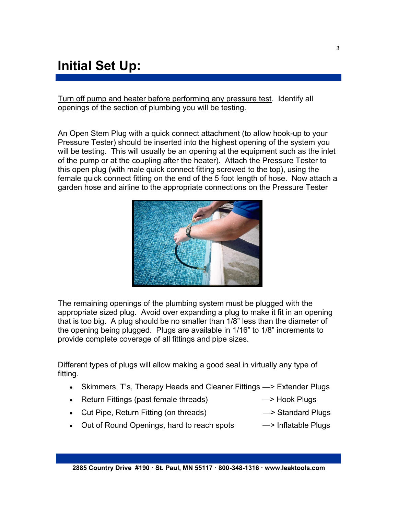# **Initial Set Up:**

Turn off pump and heater before performing any pressure test. Identify all openings of the section of plumbing you will be testing.

An Open Stem Plug with a quick connect attachment (to allow hook-up to your Pressure Tester) should be inserted into the highest opening of the system you will be testing. This will usually be an opening at the equipment such as the inlet of the pump or at the coupling after the heater). Attach the Pressure Tester to this open plug (with male quick connect fitting screwed to the top), using the female quick connect fitting on the end of the 5 foot length of hose. Now attach a garden hose and airline to the appropriate connections on the Pressure Tester



The remaining openings of the plumbing system must be plugged with the appropriate sized plug. Avoid over expanding a plug to make it fit in an opening that is too big. A plug should be no smaller than 1/8" less than the diameter of the opening being plugged. Plugs are available in 1/16" to 1/8" increments to provide complete coverage of all fittings and pipe sizes.

Different types of plugs will allow making a good seal in virtually any type of fitting.

- Skimmers, T's, Therapy Heads and Cleaner Fittings > Extender Plugs
- Return Fittings (past female threads) —— Hook Plugs
- Cut Pipe, Return Fitting (on threads)  $\rightarrow$  Standard Plugs
- Out of Round Openings, hard to reach spots -> Inflatable Plugs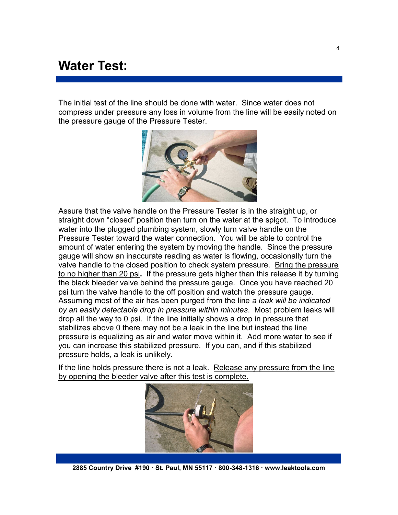### **Water Test:**

The initial test of the line should be done with water. Since water does not compress under pressure any loss in volume from the line will be easily noted on the pressure gauge of the Pressure Tester.



Assure that the valve handle on the Pressure Tester is in the straight up, or straight down "closed" position then turn on the water at the spigot. To introduce water into the plugged plumbing system, slowly turn valve handle on the Pressure Tester toward the water connection. You will be able to control the amount of water entering the system by moving the handle. Since the pressure gauge will show an inaccurate reading as water is flowing, occasionally turn the valve handle to the closed position to check system pressure. Bring the pressure to no higher than 20 psi**.** If the pressure gets higher than this release it by turning the black bleeder valve behind the pressure gauge. Once you have reached 20 psi turn the valve handle to the off position and watch the pressure gauge. Assuming most of the air has been purged from the line *a leak will be indicated by an easily detectable drop in pressure within minutes*. Most problem leaks will drop all the way to 0 psi. If the line initially shows a drop in pressure that stabilizes above 0 there may not be a leak in the line but instead the line pressure is equalizing as air and water move within it. Add more water to see if you can increase this stabilized pressure. If you can, and if this stabilized pressure holds, a leak is unlikely.

If the line holds pressure there is not a leak. Release any pressure from the line by opening the bleeder valve after this test is complete.



**2885 Country Drive #190 · St. Paul, MN 55117 · 800-348-1316 · www.leaktools.com**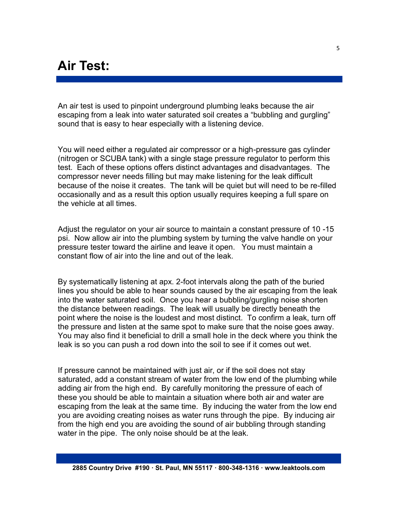## **Air Test:**

An air test is used to pinpoint underground plumbing leaks because the air escaping from a leak into water saturated soil creates a "bubbling and gurgling" sound that is easy to hear especially with a listening device.

You will need either a regulated air compressor or a high-pressure gas cylinder (nitrogen or SCUBA tank) with a single stage pressure regulator to perform this test. Each of these options offers distinct advantages and disadvantages. The compressor never needs filling but may make listening for the leak difficult because of the noise it creates. The tank will be quiet but will need to be re-filled occasionally and as a result this option usually requires keeping a full spare on the vehicle at all times.

Adjust the regulator on your air source to maintain a constant pressure of 10 -15 psi. Now allow air into the plumbing system by turning the valve handle on your pressure tester toward the airline and leave it open. You must maintain a constant flow of air into the line and out of the leak.

By systematically listening at apx. 2-foot intervals along the path of the buried lines you should be able to hear sounds caused by the air escaping from the leak into the water saturated soil. Once you hear a bubbling/gurgling noise shorten the distance between readings. The leak will usually be directly beneath the point where the noise is the loudest and most distinct. To confirm a leak, turn off the pressure and listen at the same spot to make sure that the noise goes away. You may also find it beneficial to drill a small hole in the deck where you think the leak is so you can push a rod down into the soil to see if it comes out wet.

If pressure cannot be maintained with just air, or if the soil does not stay saturated, add a constant stream of water from the low end of the plumbing while adding air from the high end. By carefully monitoring the pressure of each of these you should be able to maintain a situation where both air and water are escaping from the leak at the same time. By inducing the water from the low end you are avoiding creating noises as water runs through the pipe. By inducing air from the high end you are avoiding the sound of air bubbling through standing water in the pipe. The only noise should be at the leak.